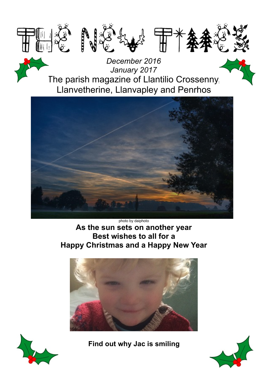

*December 2016 January 2017* The parish magazine of Llantilio Crossenny, Llanvetherine, Llanvapley and Penrhos



photo by daiphoto **As the sun sets on another year Best wishes to all for a Happy Christmas and a Happy New Year**





**Find out why Jac is smiling**

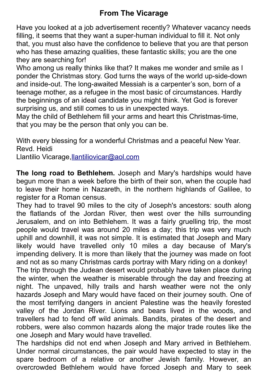## **From The Vicarage**

Have you looked at a job advertisement recently? Whatever vacancy needs filling, it seems that they want a super-human individual to fill it. Not only that, you must also have the confidence to believe that you are that person who has these amazing qualities, these fantastic skills; you are the one they are searching for!

Who among us really thinks like that? It makes me wonder and smile as I ponder the Christmas story. God turns the ways of the world up-side-down and inside-out. The long-awaited Messiah is a carpenter's son, born of a teenage mother, as a refugee in the most basic of circumstances. Hardly the beginnings of an ideal candidate you might think. Yet God is forever surprising us, and still comes to us in unexpected ways.

May the child of Bethlehem fill your arms and heart this Christmas-time, that you may be the person that only you can be.

With every blessing for a wonderful Christmas and a peaceful New Year. Revd. Heidi

Llantilio Vicarage[,llantiliovicar@aol.com](mailto:llantiliovicar@aol.com)

**The long road to Bethlehem.** Joseph and Mary's hardships would have begun more than a week before the birth of their son, when the couple had to leave their home in Nazareth, in the northern highlands of Galilee, to register for a Roman census.

They had to travel 90 miles to the city of Joseph's ancestors: south along the flatlands of the Jordan River, then west over the hills surrounding Jerusalem, and on into Bethlehem. It was a fairly gruelling trip, the most people would travel was around 20 miles a day; this trip was very much uphill and downhill, it was not simple. It is estimated that Joseph and Mary likely would have travelled only 10 miles a day because of Mary's impending delivery. It is more than likely that the journey was made on foot and not as so many Christmas cards portray with Mary riding on a donkey! The trip through the Judean desert would probably have taken place during

the winter, when the weather is miserable through the day and freezing at night. The unpaved, hilly trails and harsh weather were not the only hazards Joseph and Mary would have faced on their journey south. One of the most terrifying dangers in ancient Palestine was the heavily forested valley of the Jordan River. Lions and bears lived in the woods, and travellers had to fend off wild animals. Bandits, pirates of the desert and robbers, were also common hazards along the major trade routes like the one Joseph and Mary would have travelled.

The hardships did not end when Joseph and Mary arrived in Bethlehem. Under normal circumstances, the pair would have expected to stay in the spare bedroom of a relative or another Jewish family. However, an overcrowded Bethlehem would have forced Joseph and Mary to seek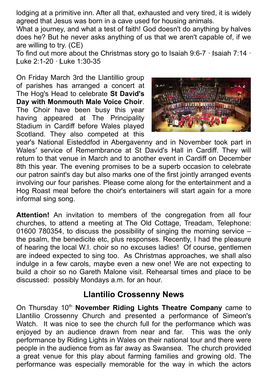lodging at a primitive inn. After all that, exhausted and very tired, it is widely agreed that Jesus was born in a cave used for housing animals.

What a journey, and what a test of faith! God doesn't do anything by halves does he? But he never asks anything of us that we aren't capable of, if we are willing to try. (CE)

To find out more about the Christmas story go to Isaiah 9:6-7 · Isaiah 7:14 · Luke 2:1-20 · Luke 1:30-35

On Friday March 3rd the Llantillio group of parishes has arranged a concert at The Hog's Head to celebrate **St David's Day with Monmouth Male Voice Choir**. The Choir have been busy this year having appeared at The Principality Stadium in Cardiff before Wales played Scotland. They also competed at this



year's National Eisteddfod in Abergavenny and in November took part in Wales' service of Remembrance at St David's Hall in Cardiff. They will return to that venue in March and to another event in Cardiff on December 8th this year. The evening promises to be a superb occasion to celebrate our patron saint's day but also marks one of the first jointly arranged events involving our four parishes. Please come along for the entertainment and a Hog Roast meal before the choir's entertainers will start again for a more informal sing song.

**Attention!** An invitation to members of the congregation from all four churches, to attend a meeting at The Old Cottage, Treadam, Telephone: 01600 780354, to discuss the possibility of singing the morning service – the psalm, the benedicite etc, plus responses. Recently, I had the pleasure of hearing the local W.I. choir so no excuses ladies! Of course, gentlemen are indeed expected to sing too. As Christmas approaches, we shall also indulge in a few carols, maybe even a new one! We are not expecting to build a choir so no Gareth Malone visit. Rehearsal times and place to be discussed: possibly Mondays a.m. for an hour.

## **Llantilio Crossenny News**

On Thursday 10<sup>th</sup> November Riding Lights Theatre Company came to Llantilio Crossenny Church and presented a performance of Simeon's Watch. It was nice to see the church full for the performance which was enjoyed by an audience drawn from near and far. This was the only performance by Riding Lights in Wales on their national tour and there were people in the audience from as far away as Swansea. The church provided a great venue for this play about farming families and growing old. The performance was especially memorable for the way in which the actors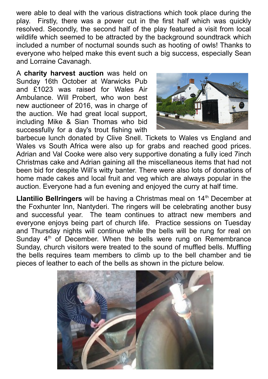were able to deal with the various distractions which took place during the play. Firstly, there was a power cut in the first half which was quickly resolved. Secondly, the second half of the play featured a visit from local wildlife which seemed to be attracted by the background soundtrack which included a number of nocturnal sounds such as hooting of owls! Thanks to everyone who helped make this event such a big success, especially Sean and Lorraine Cavanagh.

A **charity harvest auction** was held on Sunday 16th October at Warwicks Pub and £1023 was raised for Wales Air Ambulance. Will Probert, who won best new auctioneer of 2016, was in charge of the auction. We had great local support, including Mike & Sian Thomas who bid successfully for a day's trout fishing with



barbecue lunch donated by Clive Snell. Tickets to Wales vs England and Wales vs South Africa were also up for grabs and reached good prices. Adrian and Val Cooke were also very supportive donating a fully iced 7inch Christmas cake and Adrian gaining all the miscellaneous items that had not been bid for despite Will's witty banter. There were also lots of donations of home made cakes and local fruit and veg which are always popular in the auction. Everyone had a fun evening and enjoyed the curry at half time.

Llantilio Bellringers will be having a Christmas meal on 14<sup>th</sup> December at the Foxhunter Inn, Nantyderi. The ringers will be celebrating another busy and successful year. The team continues to attract new members and everyone enjoys being part of church life. Practice sessions on Tuesday and Thursday nights will continue while the bells will be rung for real on Sunday  $4<sup>th</sup>$  of December. When the bells were rung on Remembrance Sunday, church visitors were treated to the sound of muffled bells. Muffling the bells requires team members to climb up to the bell chamber and tie pieces of leather to each of the bells as shown in the picture below.

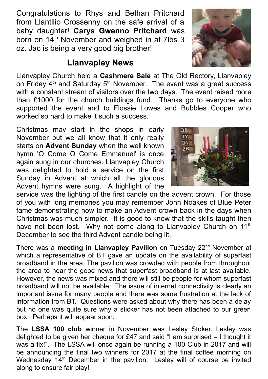Congratulations to Rhys and Bethan Pritchard from Llantilio Crossenny on the safe arrival of a baby daughter! **Carys Gwenno Pritchard** was born on  $14<sup>th</sup>$  November and weighed in at 7lbs 3 oz. Jac is being a very good big brother!

## **Llanvapley News**

Llanvapley Church held a **Cashmere Sale** at The Old Rectory, Llanvapley on Friday  $4<sup>th</sup>$  and Saturday  $5<sup>th</sup>$  November. The event was a great success with a constant stream of visitors over the two days. The event raised more than £1000 for the church buildings fund. Thanks go to everyone who supported the event and to Flossie Lowes and Bubbles Cooper who worked so hard to make it such a success.

Christmas may start in the shops in early November but we all know that it only really starts on **Advent Sunday** when the well known hymn 'O Come O Come Emmanuel' is once again sung in our churches. Llanvapley Church was delighted to hold a service on the first Sunday in Advent at which all the glorious Advent hymns were sung. A highlight of the

service was the lighting of the first candle on the advent crown. For those of you with long memories you may remember John Noakes of Blue Peter fame demonstrating how to make an Advent crown back in the days when Christmas was much simpler. It is good to know that the skills taught then have not been lost. Why not come along to Llanvapley Church on  $11<sup>th</sup>$ December to see the third Advent candle being lit.

There was a **meeting in Llanvapley Pavilion** on Tuesday 22<sup>nd</sup> November at which a representative of BT gave an update on the availability of superfast broadband in the area. The pavilion was crowded with people from throughout the area to hear the good news that superfast broadband is at last available. However, the news was mixed and there will still be people for whom superfast broadband will not be available. The issue of internet connectivity is clearly an important issue for many people and there was some frustration at the lack of information from BT. Questions were asked about why there has been a delay but no one was quite sure why a sticker has not been attached to our green box. Perhaps it will appear soon.

The **LSSA 100 club** winner in November was Lesley Stoker. Lesley was delighted to be given her cheque for £47 and said "I am surprised – I thought it was a fix!". The LSSA will once again be running a 100 Club in 2017 and will be announcing the final two winners for 2017 at the final coffee morning on Wednesday 14<sup>th</sup> December in the pavilion. Lesley will of course be invited along to ensure fair play!



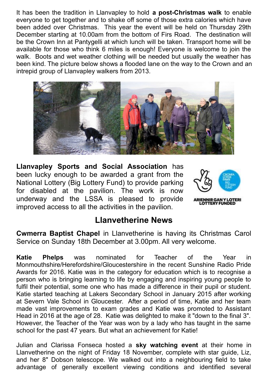It has been the tradition in Llanvapley to hold **a post-Christmas walk** to enable everyone to get together and to shake off some of those extra calories which have been added over Christmas. This year the event will be held on Thursday 29th December starting at 10.00am from the bottom of Firs Road. The destination will be the Crown Inn at Pantygelli at which lunch will be taken. Transport home will be available for those who think 6 miles is enough! Everyone is welcome to join the walk. Boots and wet weather clothing will be needed but usually the weather has been kind. The picture below shows a flooded lane on the way to the Crown and an intrepid group of Llanvapley walkers from 2013.



**Llanvapley Sports and Social Association** has been lucky enough to be awarded a grant from the National Lottery (Big Lottery Fund) to provide parking for disabled at the pavilion. The work is now underway and the LSSA is pleased to provide improved access to all the activities in the pavilion.



## **Llanvetherine News**

**Cwmerra Baptist Chapel** in Llanvetherine is having its Christmas Carol Service on Sunday 18th December at 3.00pm. All very welcome.

**Katie Phelps** was nominated for Teacher of the Year in Monmouthshire/Herefordshire/Gloucestershire in the recent Sunshine Radio Pride Awards for 2016. Katie was in the category for education which is to recognise a person who is bringing learning to life by engaging and inspiring young people to fulfil their potential, some one who has made a difference in their pupil or student. Katie started teaching at Lakers Secondary School in January 2015 after working at Severn Vale School in Gloucester. After a period of time, Katie and her team made vast improvements to exam grades and Katie was promoted to Assistant Head in 2016 at the age of 28. Katie was delighted to make it "down to the final 3". However, the Teacher of the Year was won by a lady who has taught in the same school for the past 47 years. But what an achievement for Katie!

Julian and Clarissa Fonseca hosted a **sky watching event** at their home in Llanvetherine on the night of Friday 18 November, complete with star guide, Liz, and her 8" Dobson telescope. We walked out into a neighbouring field to take advantage of generally excellent viewing conditions and identified several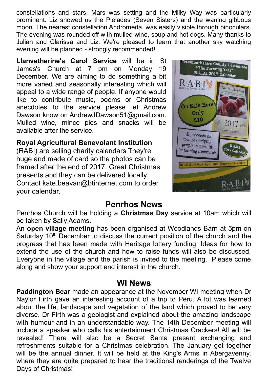constellations and stars. Mars was setting and the Milky Way was particularly prominent. Liz showed us the Pleiades (Seven Sisters) and the waning gibbous moon. The nearest constellation Andromeda, was easily visible through binoculars. The evening was rounded off with mulled wine, soup and hot dogs. Many thanks to Julian and Clarissa and Liz. We're pleased to learn that another sky watching evening will be planned - strongly recommended!

**Llanvetherine's Carol Service** will be in St James's Church at 7 pm on Monday 19 December. We are aiming to do something a bit more varied and seasonally interesting which will appeal to a wide range of people. If anyone would like to contribute music, poems or Christmas anecdotes to the service please let Andrew Dawson know on AndrewJDawson51@gmail.com. Mulled wine, mince pies and snacks will be available after the service.

#### **Royal Agricultural Benevolant Institution**

(RABI) are selling charity calendars They're huge and made of card so the photos can be framed after the end of 2017. Great Christmas presents and they can be delivered locally. Contact kate.beavan@btinternet.com to order your calendar.



## **Penrhos News**

Penrhos Church will be holding a **Christmas Day** service at 10am which will be taken by Sally Adams.

An **open village meeting** has been organised at Woodlands Barn at 5pm on Saturday  $10<sup>th</sup>$  December to discuss the current position of the church and the progress that has been made with Heritage lottery funding, Ideas for how to extend the use of the church and how to raise funds will also be discussed. Everyone in the village and the parish is invited to the meeting. Please come along and show your support and interest in the church.

#### **WI News**

**Paddington Bear** made an appearance at the November WI meeting when Dr Naylor Firth gave an interesting account of a trip to Peru. A lot was learned about the life, landscape and vegetation of the land which proved to be very diverse. Dr Firth was a geologist and explained about the amazing landscape with humour and in an understandable way. The 14th December meeting will include a speaker who calls his entertainment Christmas Crackers! All will be revealed! There will also be a Secret Santa present exchanging and refreshments suitable for a Christmas celebration. The January get together will be the annual dinner. It will be held at the King's Arms in Abergavenny, where they are quite prepared to hear the traditional renderings of the Twelve Days of Christmas!